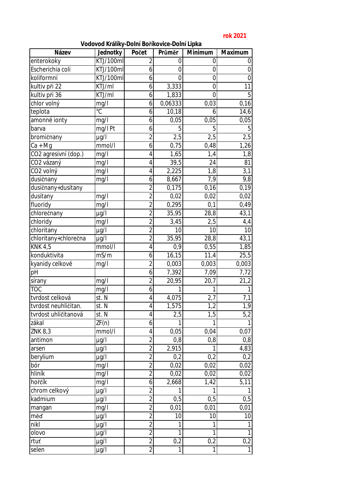## **rok 2021**

| Vodovod Králíky-Dolní Boříkovice-Dolní Lipka |  |  |  |
|----------------------------------------------|--|--|--|
|----------------------------------------------|--|--|--|

| Název                 | Jednotky       | Počet          | Průměr           | Minimum           | Maximum          |
|-----------------------|----------------|----------------|------------------|-------------------|------------------|
| enterokoky            | KTJ/100ml      | 2              | 0                | 0                 | $\boldsymbol{0}$ |
| Escherichia coli      | KTJ/100ml      | 6              | $\mathbf 0$      | 0                 | $\boldsymbol{0}$ |
| koliformní            | KTJ/100ml      | 6              | $\overline{0}$   | $\mathbf 0$       | $\boldsymbol{0}$ |
| kultiv při 22         | KTJ/ml         | 6              | 3,333            | 0                 | 11               |
| kultiv při 36         | KTJ/ml         | 6              | 1,833            | $\overline{0}$    | 5                |
| chlor volný           | mg/l           | 6              | 0,06333          | 0,03              | 0,16             |
| teplota               | $\overline{C}$ | 6              | 10,18            | 6                 | 14,6             |
| amonné ionty          | mg/l           | 6              | 0,05             | 0,05              | 0,05             |
| barva                 | mg/l Pt        | 6              | 5                | 5                 | 5                |
| bromičnany            | $\mu$ g/l      | $\overline{2}$ | 2,5              | 2,5               | 2,5              |
| $Ca + Mg$             | mmol/l         | 6              | 0,75             | 0,48              | 1,26             |
| CO2 agresivní (dop.)  | mg/l           | 4              | 1,65             | 1,4               | 1,8              |
| CO2 vázaný            | mg/l           | 4              | 39,5             | 24                | 81               |
| CO <sub>2</sub> volný | mg/l           | 4              | 2,225            | 1,8               | 3,1              |
| dusičnany             | mg/l           | 6              | 8,667            | 7,9               | 9,8              |
| dusičnany+dusitany    |                | $\overline{2}$ | 0,175            | 0,16              | 0,19             |
| dusitany              | mg/l           | $\overline{2}$ | 0,02             | 0,02              | 0,02             |
| fluoridy              | mg/l           | $\overline{2}$ | 0,295            | 0,1               | 0,49             |
| chlorečnany           | $\mu$ g/l      | $\overline{2}$ | 35,95            | $\overline{28,8}$ | 43,1             |
| chloridy              | mg/l           | $\overline{2}$ | 3,45             | 2,5               | 4,4              |
| chloritany            | $\mu$ g/l      | $\overline{2}$ | 10               | 10                | 10               |
| chloritany+chlorečna  | $\mu$ g/l      | $\overline{2}$ | 35,95            | 28,8              | 43,1             |
| <b>KNK 4,5</b>        | mmol/l         | 4              | 0,9              | 0,55              | 1,85             |
| konduktivita          | mS/m           | 6              | 16, 15           | 11,4              | 25,5             |
| kyanidy celkové       | mg/l           | $\overline{2}$ | 0,003            | 0,003             | 0,003            |
| pH                    |                | 6              | 7,392            | 7,09              | 7,72             |
| sírany                | mg/l           | $\overline{2}$ | 20,95            | 20,7              | 21,2             |
| <b>TOC</b>            | mg/l           | 6              |                  | 1                 | 1                |
| tvrdost celková       | st. N          | $\overline{4}$ | 4,075            | 2,7               | 7,1              |
| tvrdost neuhličitan.  | st. N          | 4              | 1,575            | 1,2               | 1,9              |
| tvrdost uhličitanová  | st. N          | 4              | $\overline{2,5}$ | 1,5               | 5,2              |
| zákal                 | ZF(n)          | 6              |                  |                   |                  |
| ZNK 8,3               | mmol/l         | 4              | 0,05             | 0,04              | 0,07             |
| antimon               | µg/l           | $\overline{2}$ | 0,8              | 0,8               | 0,8              |
| arsen                 | $\mu$ g/l      | $\overline{2}$ | 2,915            | 1                 | 4,83             |
| berylium              | $\mu$ g/l      | $\overline{2}$ | 0,2              | 0,2               | 0,2              |
| bór                   | mg/l           | $\overline{2}$ | 0,02             | 0,02              | 0,02             |
| hliník                | mg/l           | $\overline{2}$ | 0,02             | 0,02              | 0,02             |
| hořčík                | mg/l           | 6              | 2,668            | 1,42              | 5,11             |
| chrom celkový         | $\mu$ g/l      | $\overline{2}$ |                  | 1                 | 1                |
| kadmium               | $\mu$ g/l      | $\overline{2}$ | 0,5              | 0,5               | 0,5              |
| mangan                | mg/l           | $\overline{2}$ | 0,01             | 0,01              | 0,01             |
| měď                   | µg/l           | $\overline{2}$ | 10               | 10                | 10               |
| nikl                  | µg/l           | $\overline{2}$ |                  | 1                 | 1                |
| olovo                 | $\mu$ g/l      | $\overline{2}$ | 1                | 1                 | $\mathbf{1}$     |
| rtuť                  | µg/l           | $\overline{2}$ | 0,2              | 0,2               | 0,2              |
| selen                 | µg/l           | $\overline{2}$ | 1                | 1                 | $\mathbf{1}$     |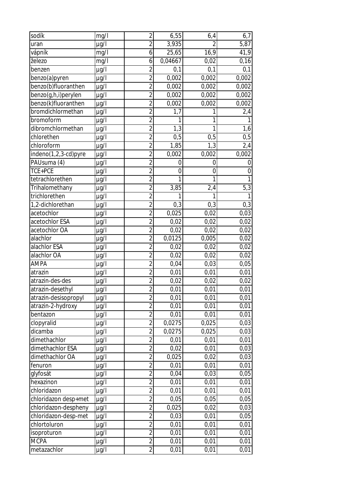| sodík                | mg/l      | $\overline{2}$ | 6,55         | 6,4            | 6,7              |
|----------------------|-----------|----------------|--------------|----------------|------------------|
| uran                 | µg/l      | $\overline{2}$ | 3,935        | $\overline{2}$ | 5,87             |
| vápník               | mg/l      | 6              | 25,65        | 16,9           | 41,9             |
| železo               | mg/l      | 6              | 0,04667      | 0,02           | 0,16             |
| benzen               | $\mu$ g/l | $\overline{2}$ | 0,1          | 0,1            | 0,1              |
| benzo(a)pyren        | $\mu$ g/l | $\overline{2}$ | 0,002        | 0,002          | 0,002            |
| benzo(b)fluoranthen  | µg/l      | $\overline{2}$ | 0,002        | 0,002          | 0,002            |
| benzo(g,h,i)perylen  | $\mu$ g/l | $\overline{2}$ | 0,002        | 0,002          | 0,002            |
| benzo(k)fluoranthen  | µg/l      | $\overline{2}$ | 0,002        | 0,002          | 0,002            |
| bromdichlormethan    | µg/l      | $\overline{2}$ | 1,7          |                | 2,4              |
| bromoform            | µg/l      | $\overline{2}$ | $\mathbf{1}$ | 1              | $\mathbf{1}$     |
| dibromchlormethan    | µg/l      | $\overline{2}$ | 1,3          | 1              | 1,6              |
| chlorethen           | µg/l      | $\overline{2}$ | 0,5          | 0,5            | 0,5              |
| chloroform           | µg/l      | $\overline{2}$ | 1,85         | 1,3            | 2,4              |
| indeno(1,2,3-cd)pyre | µg/l      | $\overline{2}$ | 0,002        | 0,002          | 0,002            |
| PAUsuma (4)          | µg/l      | $\overline{2}$ | 0            | 0              | $\mathbf 0$      |
| TCE+PCE              | $\mu$ g/l | $\overline{2}$ | 0            | 0              | $\boldsymbol{0}$ |
| tetrachlorethen      | µg/l      | $\overline{2}$ | 1            | $\mathbf{1}$   | $\mathbf{1}$     |
| Trihalomethany       | µg/l      | $\overline{2}$ | 3,85         | 2,4            | 5,3              |
| trichlorethen        | µg/l      | $\overline{2}$ | 1            | 1              | $\mathbf{1}$     |
| 1,2-dichlorethan     | µg/l      | $\overline{2}$ | 0,3          | 0,3            | 0,3              |
| acetochlor           | µg/l      | $\overline{2}$ | 0,025        | 0,02           | 0,03             |
| acetochlor ESA       | µg/l      | $\overline{2}$ | 0,02         | 0,02           | 0,02             |
| acetochlor OA        | µg/l      | $\overline{2}$ | 0,02         | 0,02           | 0,02             |
| alachlor             | µg/l      | $\overline{2}$ | 0,0125       | 0,005          | 0,02             |
| alachlor ESA         | µg/l      | $\overline{2}$ | 0,02         | 0,02           | 0,02             |
| alachlor OA          | $\mu$ g/l | $\overline{2}$ | 0,02         | 0,02           | 0,02             |
| <b>AMPA</b>          | µg/l      | $\overline{2}$ | 0,04         | 0,03           | 0,05             |
| atrazin              | $\mu$ g/l | $\overline{2}$ | 0,01         | 0,01           | 0,01             |
| atrazin-des-des      | µg/l      | $\overline{2}$ | 0,02         | 0,02           | 0,02             |
| atrazin-desethyl     | $\mu$ g/l | $\overline{2}$ | 0,01         | 0,01           | 0,01             |
| atrazin-desisopropyl | µg/l      | $\overline{2}$ | 0,01         | 0,01           | 0,01             |
| atrazin-2-hydroxy    | µg/l      | $\overline{2}$ | 0,01         | 0,01           | 0,01             |
| bentazon             | $\mu$ g/l | $\overline{2}$ | 0,01         | 0,01           | 0,01             |
| clopyralid           | µg/l      | $\overline{2}$ | 0,0275       | 0,025          | 0,03             |
| dicamba              | µg/l      | $\overline{2}$ | 0,0275       | 0,025          | 0,03             |
| dimethachlor         | µg/l      | $\overline{2}$ | 0,01         | 0,01           | 0,01             |
| dimethachlor ESA     | µg/l      | $\overline{2}$ | 0,02         | 0,01           | 0,03             |
| dimethachlor OA      | µg/l      | $\overline{2}$ | 0,025        | 0,02           | 0,03             |
| fenuron              | µg/l      | $\overline{2}$ | 0,01         | 0,01           | 0,01             |
| glyfosát             | $\mu$ g/l | $\overline{2}$ | 0,04         | 0,03           | 0,05             |
| hexazinon            | µg/l      | $\overline{2}$ | 0,01         | 0,01           | 0,01             |
| chloridazon          | µg/l      | $\overline{2}$ | 0,01         | 0,01           | 0,01             |
| chloridazon desp+met | µg/l      | $\overline{c}$ | 0,05         | 0,05           | 0,05             |
| chloridazon-despheny | µg/l      | $\overline{2}$ | 0,025        | 0,02           | 0,03             |
| chloridazon-desp-met | µg/l      | $\overline{2}$ | 0,03         | 0,01           | 0,05             |
| chlortoluron         | µg/l      | $\overline{2}$ | 0,01         | 0,01           | 0,01             |
| isoproturon          | µg/l      | $\overline{2}$ | 0,01         | 0,01           | 0,01             |
| <b>MCPA</b>          | µg/l      | $\overline{2}$ | 0,01         | 0,01           | 0,01             |
| metazachlor          | µg/l      | $\overline{2}$ | 0,01         | 0,01           | 0,01             |